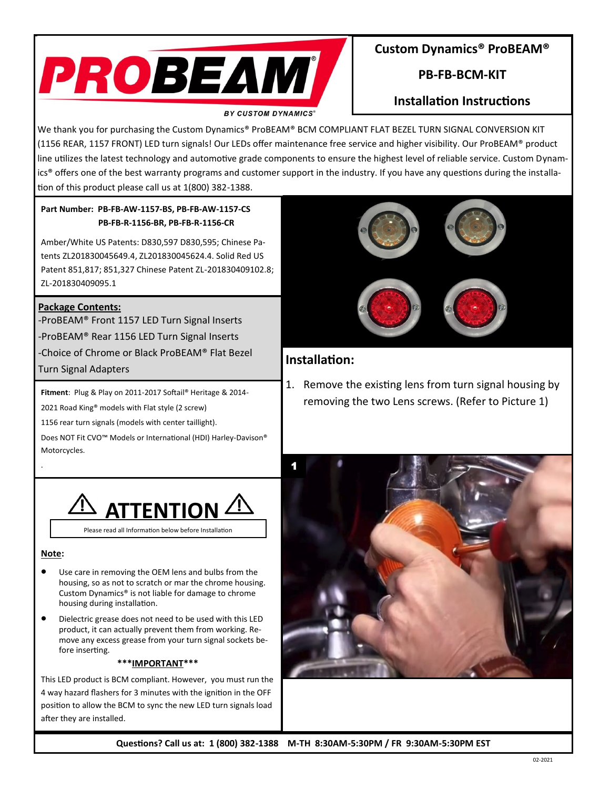

### **Custom Dynamics® ProBEAM®**

# **PB-FB-BCM-KIT**

# **Installation Instructions**

We thank you for purchasing the Custom Dynamics® ProBEAM® BCM COMPLIANT FLAT BEZEL TURN SIGNAL CONVERSION KIT (1156 REAR, 1157 FRONT) LED turn signals! Our LEDs offer maintenance free service and higher visibility. Our ProBEAM® product line utilizes the latest technology and automotive grade components to ensure the highest level of reliable service. Custom Dynamics® offers one of the best warranty programs and customer support in the industry. If you have any questions during the installation of this product please call us at 1(800) 382-1388.

#### **Part Number: PB-FB-AW-1157-BS, PB-FB-AW-1157-CS PB-FB-R-1156-BR, PB-FB-R-1156-CR**

Amber/White US Patents: D830,597 D830,595; Chinese Patents ZL201830045649.4, ZL201830045624.4. Solid Red US Patent 851,817; 851,327 Chinese Patent ZL-201830409102.8; ZL-201830409095.1

#### **Package Contents:**

-ProBEAM® Front 1157 LED Turn Signal Inserts -ProBEAM® Rear 1156 LED Turn Signal Inserts -Choice of Chrome or Black ProBEAM® Flat Bezel Turn Signal Adapters

**Fitment**: Plug & Play on 2011-2017 Softail® Heritage & 2014-

2021 Road King® models with Flat style (2 screw)

1156 rear turn signals (models with center taillight).

Does NOT Fit CVO™ Models or International (HDI) Harley-Davison® Motorcycles.



**Note:**

.

- Use care in removing the OEM lens and bulbs from the housing, so as not to scratch or mar the chrome housing. Custom Dynamics® is not liable for damage to chrome housing during installation.
- Dielectric grease does not need to be used with this LED product, it can actually prevent them from working. Remove any excess grease from your turn signal sockets before inserting.

#### **\*\*\*IMPORTANT\*\*\***

This LED product is BCM compliant. However, you must run the 4 way hazard flashers for 3 minutes with the ignition in the OFF position to allow the BCM to sync the new LED turn signals load after they are installed.



## **Installation:**

1. Remove the existing lens from turn signal housing by removing the two Lens screws. (Refer to Picture 1)